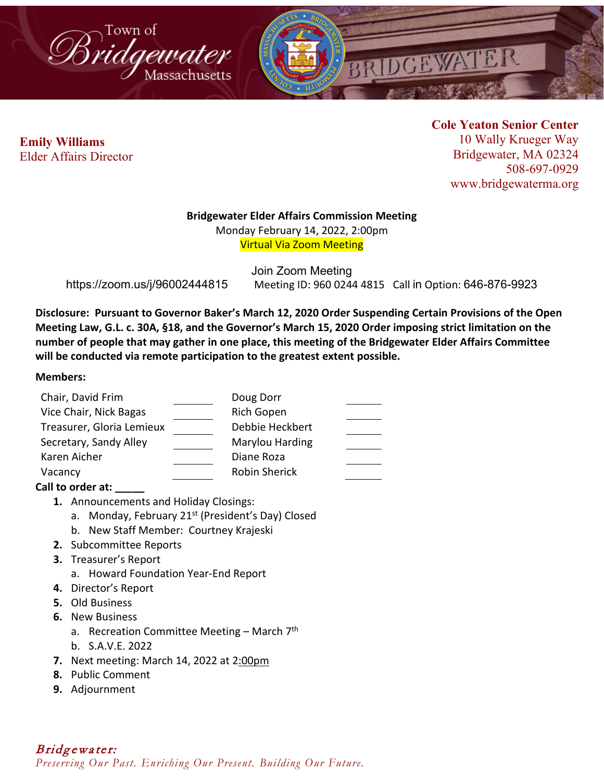



**Cole Yeaton Senior Center** 10 Wally Krueger Way Bridgewater, MA 02324 508-697-0929 www.bridgewaterma.org

### **Bridgewater Elder Affairs Commission Meeting**

Monday February 14, 2022, 2:00pm Virtual Via Zoom Meeting

Join Zoom Meeting https://zoom.us/j/96002444815 Meeting ID: 960 0244 4815 Call in Option: 646-876-9923

**Disclosure: Pursuant to Governor Baker's March 12, 2020 Order Suspending Certain Provisions of the Open Meeting Law, G.L. c. 30A, §18, and the Governor's March 15, 2020 Order imposing strict limitation on the number of people that may gather in one place, this meeting of the Bridgewater Elder Affairs Committee will be conducted via remote participation to the greatest extent possible.** 

### **Members:**

| Chair, David Frim         | Doug Dorr            |  |
|---------------------------|----------------------|--|
| Vice Chair, Nick Bagas    | Rich Gopen           |  |
| Treasurer, Gloria Lemieux | Debbie Heckbert      |  |
| Secretary, Sandy Alley    | Marylou Harding      |  |
| Karen Aicher              | Diane Roza           |  |
| Vacancy                   | <b>Robin Sherick</b> |  |

## **Call to order at: \_\_\_\_\_**

**1.** Announcements and Holiday Closings:

- a. Monday, February 21<sup>st</sup> (President's Day) Closed
- b. New Staff Member: Courtney Krajeski
- **2.** Subcommittee Reports
- **3.** Treasurer's Report
	- a. Howard Foundation Year-End Report
- **4.** Director's Report
- **5.** Old Business
- **6.** New Business
	- a. Recreation Committee Meeting March  $7<sup>th</sup>$
	- b. S.A.V.E. 2022
- **7.** Next meeting: March 14, 2022 at 2:00pm
- **8.** Public Comment
- **9.** Adjournment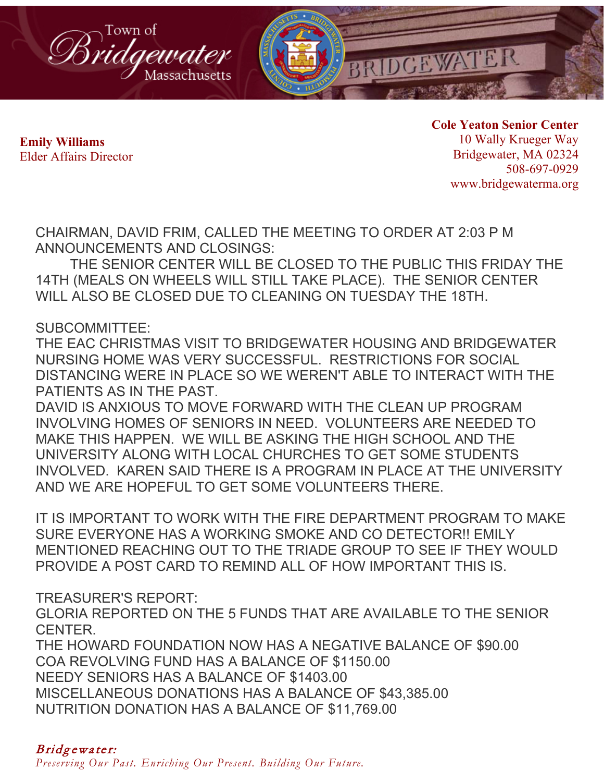

**Cole Yeaton Senior Center** 10 Wally Krueger Way Bridgewater, MA 02324 508-697-0929 www.bridgewaterma.org

CHAIRMAN, DAVID FRIM, CALLED THE MEETING TO ORDER AT 2:03 P M ANNOUNCEMENTS AND CLOSINGS:

THE SENIOR CENTER WILL BE CLOSED TO THE PUBLIC THIS FRIDAY THE 14TH (MEALS ON WHEELS WILL STILL TAKE PLACE). THE SENIOR CENTER WILL ALSO BE CLOSED DUE TO CLEANING ON TUESDAY THE 18TH.

SUBCOMMITTEE:

THE EAC CHRISTMAS VISIT TO BRIDGEWATER HOUSING AND BRIDGEWATER NURSING HOME WAS VERY SUCCESSFUL. RESTRICTIONS FOR SOCIAL DISTANCING WERE IN PLACE SO WE WEREN'T ABLE TO INTERACT WITH THE PATIENTS AS IN THE PAST.

DAVID IS ANXIOUS TO MOVE FORWARD WITH THE CLEAN UP PROGRAM INVOLVING HOMES OF SENIORS IN NEED. VOLUNTEERS ARE NEEDED TO MAKE THIS HAPPEN. WE WILL BE ASKING THE HIGH SCHOOL AND THE UNIVERSITY ALONG WITH LOCAL CHURCHES TO GET SOME STUDENTS INVOLVED. KAREN SAID THERE IS A PROGRAM IN PLACE AT THE UNIVERSITY AND WE ARE HOPEFUL TO GET SOME VOLUNTEERS THERE.

IT IS IMPORTANT TO WORK WITH THE FIRE DEPARTMENT PROGRAM TO MAKE SURE EVERYONE HAS A WORKING SMOKE AND CO DETECTOR!! EMILY MENTIONED REACHING OUT TO THE TRIADE GROUP TO SEE IF THEY WOULD PROVIDE A POST CARD TO REMIND ALL OF HOW IMPORTANT THIS IS.

TREASURER'S REPORT:

GLORIA REPORTED ON THE 5 FUNDS THAT ARE AVAILABLE TO THE SENIOR CENTER.

THE HOWARD FOUNDATION NOW HAS A NEGATIVE BALANCE OF \$90.00 COA REVOLVING FUND HAS A BALANCE OF \$1150.00 NEEDY SENIORS HAS A BALANCE OF \$1403.00 MISCELLANEOUS DONATIONS HAS A BALANCE OF \$43,385.00 NUTRITION DONATION HAS A BALANCE OF \$11,769.00

# Bridgewater:

*Preserving Our Past. Enriching Our Present. Building Our Future.*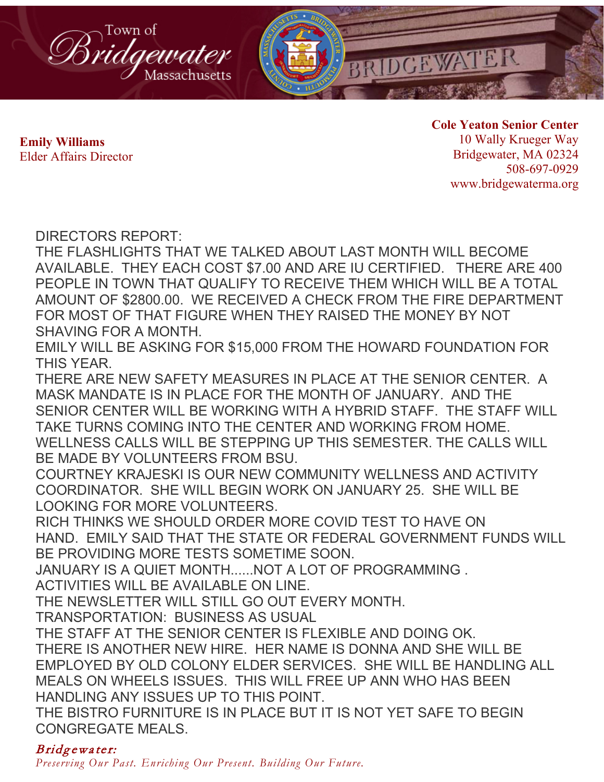

**Cole Yeaton Senior Center** 10 Wally Krueger Way Bridgewater, MA 02324 508-697-0929 www.bridgewaterma.org

DIRECTORS REPORT:

THE FLASHLIGHTS THAT WE TALKED ABOUT LAST MONTH WILL BECOME AVAILABLE. THEY EACH COST \$7.00 AND ARE IU CERTIFIED. THERE ARE 400 PEOPLE IN TOWN THAT QUALIFY TO RECEIVE THEM WHICH WILL BE A TOTAL AMOUNT OF \$2800.00. WE RECEIVED A CHECK FROM THE FIRE DEPARTMENT FOR MOST OF THAT FIGURE WHEN THEY RAISED THE MONEY BY NOT SHAVING FOR A MONTH.

EMILY WILL BE ASKING FOR \$15,000 FROM THE HOWARD FOUNDATION FOR THIS YEAR.

THERE ARE NEW SAFETY MEASURES IN PLACE AT THE SENIOR CENTER. A MASK MANDATE IS IN PLACE FOR THE MONTH OF JANUARY. AND THE SENIOR CENTER WILL BE WORKING WITH A HYBRID STAFF. THE STAFF WILL TAKE TURNS COMING INTO THE CENTER AND WORKING FROM HOME. WELLNESS CALLS WILL BE STEPPING UP THIS SEMESTER. THE CALLS WILL BE MADE BY VOLUNTEERS FROM BSU.

COURTNEY KRAJESKI IS OUR NEW COMMUNITY WELLNESS AND ACTIVITY COORDINATOR. SHE WILL BEGIN WORK ON JANUARY 25. SHE WILL BE LOOKING FOR MORE VOLUNTEERS.

RICH THINKS WE SHOULD ORDER MORE COVID TEST TO HAVE ON HAND. EMILY SAID THAT THE STATE OR FEDERAL GOVERNMENT FUNDS WILL BE PROVIDING MORE TESTS SOMETIME SOON.

JANUARY IS A QUIET MONTH......NOT A LOT OF PROGRAMMING .

ACTIVITIES WILL BE AVAILABLE ON LINE.

THE NEWSLETTER WILL STILL GO OUT EVERY MONTH.

TRANSPORTATION: BUSINESS AS USUAL

THE STAFF AT THE SENIOR CENTER IS FLEXIBLE AND DOING OK. THERE IS ANOTHER NEW HIRE. HER NAME IS DONNA AND SHE WILL BE EMPLOYED BY OLD COLONY ELDER SERVICES. SHE WILL BE HANDLING ALL MEALS ON WHEELS ISSUES. THIS WILL FREE UP ANN WHO HAS BEEN HANDLING ANY ISSUES UP TO THIS POINT.

THE BISTRO FURNITURE IS IN PLACE BUT IT IS NOT YET SAFE TO BEGIN CONGREGATE MEALS.

# Bridgewater:

*Preserving Our Past. Enriching Our Present. Building Our Future.*